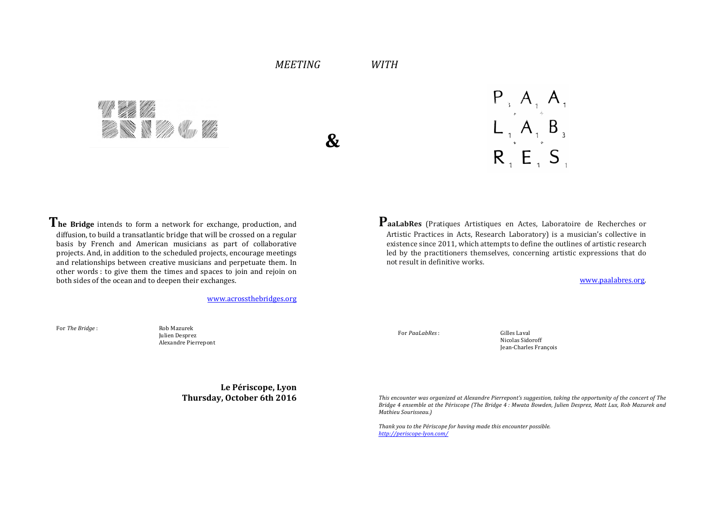# *MEETING*

*WITH*

A W W You Vie

**&**

 $P_3$ ,  $A_1$ ,  $A_3$ <br> $L_1$ ,  $A_1$ ,  $B_3$  $R, E, S$ 

The Bridge intends to form a network for exchange, production, and diffusion, to build a transatlantic bridge that will be crossed on a regular basis by French and American musicians as part of collaborative projects. And, in addition to the scheduled projects, encourage meetings and relationships between creative musicians and perpetuate them. In other words : to give them the times and spaces to join and rejoin on both sides of the ocean and to deepen their exchanges.

www.acrossthebridges.org

For *The Bridge* : Rob Mazurek

For *PaaLabRes* : Gilles Laval

Nicolas Sidoroff Jean-Charles François

This encounter was organized at Alexandre Pierrepont's suggestion, taking the opportunity of the concert of The *Bridge* 4 ensemble at the Périscope (The Bridge 4: Mwata Bowden, Julien Desprez, Matt Lux, Rob Mazurek and *Mathieu Sourisseau.)*

Thank you to the Périscope for having made this encounter possible. *http://periscope-lyon.com/*

PaaLabRes (Pratiques Artistiques en Actes, Laboratoire de Recherches or Artistic Practices in Acts, Research Laboratory) is a musician's collective in existence since 2011, which attempts to define the outlines of artistic research led by the practitioners themselves, concerning artistic expressions that do not result in definitive works.

www.paalabres.org.

Julien Desprez Alexandre Pierrepont

> **Le Périscope, Lyon Thursday, October 6th 2016**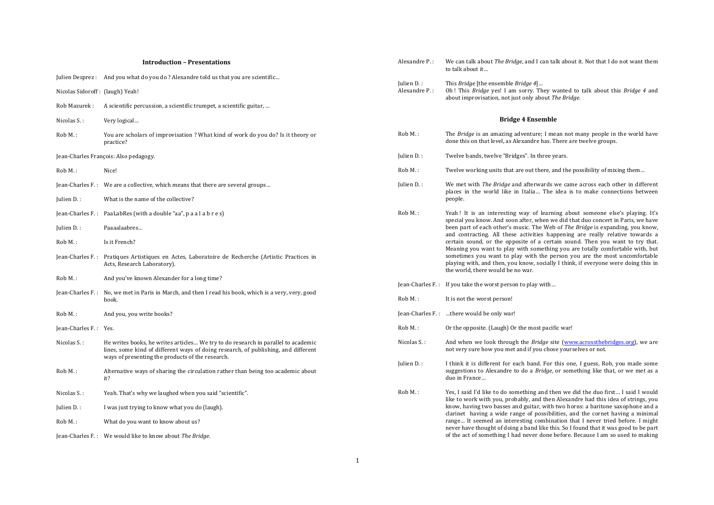| <b>Introduction - Presentations</b> |                                 |                                                                                                                                                                                                                             | Alexandre P.:                                                                                                                                                         | We can talk about <i>The Bridge</i> , and I can talk about it. Not that I do not want them<br>to talk about it                                                                                       |
|-------------------------------------|---------------------------------|-----------------------------------------------------------------------------------------------------------------------------------------------------------------------------------------------------------------------------|-----------------------------------------------------------------------------------------------------------------------------------------------------------------------|------------------------------------------------------------------------------------------------------------------------------------------------------------------------------------------------------|
|                                     | Nicolas Sidoroff: (laugh) Yeah! | Julien Desprez : And you what do you do? Alexandre told us that you are scientific                                                                                                                                          | Julien D.:<br>Alexandre P.:                                                                                                                                           | This Bridge [the ensemble Bridge 4]<br>Oh! This Bridge yes! I am sorry. They wanted to talk about this Bridge 4 and<br>about improvisation, not just only about The Bridge.                          |
|                                     |                                 | Rob Mazurek : A scientific percussion, a scientific trumpet, a scientific guitar,                                                                                                                                           |                                                                                                                                                                       |                                                                                                                                                                                                      |
|                                     | Nicolas S.:                     | Very logical                                                                                                                                                                                                                |                                                                                                                                                                       | <b>Bridge 4 Ensemble</b>                                                                                                                                                                             |
|                                     | Rob M.:                         | You are scholars of improvisation ? What kind of work do you do? Is it theory or<br>practice?                                                                                                                               | $Rob M.$ :                                                                                                                                                            | The Bridge is an amazing adventure; I mean not many people in the world have<br>done this on that level, as Alexandre has. There are twelve groups.                                                  |
|                                     |                                 | Jean-Charles François: Also pedagogy.                                                                                                                                                                                       | Julien D.:                                                                                                                                                            | Twelve bands, twelve "Bridges". In three years.                                                                                                                                                      |
|                                     | Rob M.:                         | Nice!                                                                                                                                                                                                                       | $RobM.$ :                                                                                                                                                             | Twelve working units that are out there, and the possibility of mixing them                                                                                                                          |
|                                     |                                 | Jean-Charles F.: We are a collective, which means that there are several groups                                                                                                                                             | Julien D.:                                                                                                                                                            | We met with <i>The Bridge</i> and afterwards we came across each other in different<br>places in the world like in Italia The idea is to make connections between                                    |
|                                     | Julien D.:                      | What is the name of the collective?                                                                                                                                                                                         |                                                                                                                                                                       | people.                                                                                                                                                                                              |
|                                     |                                 | Jean-Charles F.: PaaLabRes (with a double "aa", $p a a l a b r e s$ )                                                                                                                                                       | Rob M.:                                                                                                                                                               | Yeah! It is an interesting way of learning about someone else's playing. It's<br>special you know. And soon after, when we did that duo concert in Paris, we have                                    |
|                                     | Julien D.:                      | Paaaalaabres                                                                                                                                                                                                                |                                                                                                                                                                       | been part of each other's music. The Web of The Bridge is expanding, you know,<br>and contracting. All these activities happening are really relative towards a                                      |
|                                     | Rob M.:                         | Is it French?                                                                                                                                                                                                               |                                                                                                                                                                       | certain sound, or the opposite of a certain sound. Then you want to try that.<br>Meaning you want to play with something you are totally comfortable with, but                                       |
|                                     |                                 | Jean-Charles F.: Pratiques Artistiques en Actes, Laboratoire de Recherche (Artistic Practices in<br>Acts, Research Laboratory).                                                                                             |                                                                                                                                                                       | sometimes you want to play with the person you are the most uncomfortable<br>playing with, and then, you know, socially I think, if everyone were doing this in<br>the world, there would be no war. |
|                                     | Rob M.:                         | And you've known Alexander for a long time?                                                                                                                                                                                 |                                                                                                                                                                       | Jean-Charles F.: If you take the worst person to play with                                                                                                                                           |
|                                     |                                 | Jean-Charles F.: No, we met in Paris in March, and then I read his book, which is a very, very, good<br>book.                                                                                                               | Rob M.:                                                                                                                                                               | It is not the worst person!                                                                                                                                                                          |
|                                     | $RobM.$ :                       | And you, you write books?                                                                                                                                                                                                   |                                                                                                                                                                       | Jean-Charles F.: there would be only war!                                                                                                                                                            |
|                                     | Jean-Charles F.: Yes.           |                                                                                                                                                                                                                             | Rob M.:                                                                                                                                                               | Or the opposite. (Laugh) Or the most pacific war!                                                                                                                                                    |
|                                     | Nicolas S.:                     | He writes books, he writes articles We try to do research in parallel to academic<br>lines, some kind of different ways of doing research, of publishing, and different<br>ways of presenting the products of the research. | Nicolas S.:                                                                                                                                                           | And when we look through the <i>Bridge</i> site (www.acrossthebridges.org), we are<br>not very sure how you met and if you chose yourselves or not.                                                  |
|                                     | Rob M.:                         | Alternative ways of sharing the circulation rather than being too academic about<br>it?                                                                                                                                     | Julien D.:                                                                                                                                                            | I think it is different for each band. For this one, I guess, Rob, you made some<br>suggestions to Alexandre to do a Bridge, or something like that, or we met as a<br>duo in France                 |
|                                     | Nicolas S.:                     | Yeah. That's why we laughed when you said "scientific".                                                                                                                                                                     | Rob M.:                                                                                                                                                               | Yes, I said I'd like to do something and then we did the duo first I said I would<br>like to work with you, probably, and then Alexandre had this idea of strings, you                               |
|                                     | Julien D.:                      | I was just trying to know what you do (laugh).                                                                                                                                                                              |                                                                                                                                                                       | know, having two basses and guitar, with two horns: a baritone saxophone and a<br>clarinet having a wide range of possibilities, and the cornet having a minimal                                     |
|                                     | Rob M.:                         | What do you want to know about us?                                                                                                                                                                                          | range It seemed an interesting combination that I never tried before. I might<br>never have thought of doing a band like this. So I found that it was good to be part |                                                                                                                                                                                                      |
|                                     |                                 | Jean-Charles F.: We would like to know about The Bridge.                                                                                                                                                                    |                                                                                                                                                                       | of the act of something I had never done before. Because I am so used to making                                                                                                                      |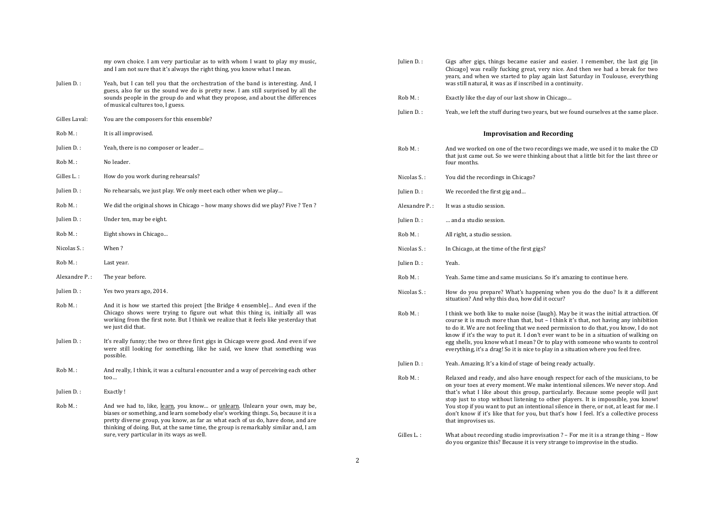|               | my own choice. I am very particular as to with whom I want to play my music,<br>and I am not sure that it's always the right thing, you know what I mean.                                                                                                                                                                                                                                 |
|---------------|-------------------------------------------------------------------------------------------------------------------------------------------------------------------------------------------------------------------------------------------------------------------------------------------------------------------------------------------------------------------------------------------|
| Julien D.:    | Yeah, but I can tell you that the orchestration of the band is interesting. And, I<br>guess, also for us the sound we do is pretty new. I am still surprised by all the<br>sounds people in the group do and what they propose, and about the differences<br>of musical cultures too, I guess.                                                                                            |
| Gilles Laval: | You are the composers for this ensemble?                                                                                                                                                                                                                                                                                                                                                  |
| Rob M.:       | It is all improvised.                                                                                                                                                                                                                                                                                                                                                                     |
| Julien D.:    | Yeah, there is no composer or leader                                                                                                                                                                                                                                                                                                                                                      |
| $Rob M.$ :    | No leader.                                                                                                                                                                                                                                                                                                                                                                                |
| Gilles L.:    | How do you work during rehearsals?                                                                                                                                                                                                                                                                                                                                                        |
| Julien D.:    | No rehearsals, we just play. We only meet each other when we play                                                                                                                                                                                                                                                                                                                         |
| Rob M.:       | We did the original shows in Chicago - how many shows did we play? Five ? Ten ?                                                                                                                                                                                                                                                                                                           |
| Julien D.:    | Under ten, may be eight.                                                                                                                                                                                                                                                                                                                                                                  |
| Rob M.:       | Eight shows in Chicago                                                                                                                                                                                                                                                                                                                                                                    |
| Nicolas S.:   | When?                                                                                                                                                                                                                                                                                                                                                                                     |
| Rob M.:       | Last year.                                                                                                                                                                                                                                                                                                                                                                                |
| Alexandre P.: | The year before.                                                                                                                                                                                                                                                                                                                                                                          |
| Julien D.:    | Yes two years ago, 2014.                                                                                                                                                                                                                                                                                                                                                                  |
| Rob M.:       | And it is how we started this project [the Bridge 4 ensemble] And even if the<br>Chicago shows were trying to figure out what this thing is, initially all was<br>working from the first note. But I think we realize that it feels like yesterday that<br>we just did that.                                                                                                              |
| Julien D.:    | It's really funny; the two or three first gigs in Chicago were good. And even if we<br>were still looking for something, like he said, we knew that something was<br>possible.                                                                                                                                                                                                            |
| Rob M.:       | And really, I think, it was a cultural encounter and a way of perceiving each other<br>$\mathsf{too}$                                                                                                                                                                                                                                                                                     |
| Julien D.:    | Exactly!                                                                                                                                                                                                                                                                                                                                                                                  |
| $Roh M.$ :    | And we had to, like, learn, you know or unlearn. Unlearn your own, may be,<br>biases or something, and learn somebody else's working things. So, because it is a<br>pretty diverse group, you know, as far as what each of us do, have done, and are<br>thinking of doing. But, at the same time, the group is remarkably similar and, I am<br>sure, very particular in its ways as well. |
|               |                                                                                                                                                                                                                                                                                                                                                                                           |

| Julien D.:                         | Gigs after gigs, things became easier and easier. I remember, the last gig [in<br>Chicago] was really fucking great, very nice. And then we had a break for two<br>years, and when we started to play again last Saturday in Toulouse, everything<br>was still natural, it was as if inscribed in a continuity.                                                                                                                                                                                                                                         |  |  |
|------------------------------------|---------------------------------------------------------------------------------------------------------------------------------------------------------------------------------------------------------------------------------------------------------------------------------------------------------------------------------------------------------------------------------------------------------------------------------------------------------------------------------------------------------------------------------------------------------|--|--|
| Rob M.:                            | Exactly like the day of our last show in Chicago                                                                                                                                                                                                                                                                                                                                                                                                                                                                                                        |  |  |
| Julien D.:                         | Yeah, we left the stuff during two years, but we found ourselves at the same place.                                                                                                                                                                                                                                                                                                                                                                                                                                                                     |  |  |
| <b>Improvisation and Recording</b> |                                                                                                                                                                                                                                                                                                                                                                                                                                                                                                                                                         |  |  |
| Rob M.:                            | And we worked on one of the two recordings we made, we used it to make the CD<br>that just came out. So we were thinking about that a little bit for the last three or<br>four months.                                                                                                                                                                                                                                                                                                                                                                  |  |  |
| Nicolas S.:                        | You did the recordings in Chicago?                                                                                                                                                                                                                                                                                                                                                                                                                                                                                                                      |  |  |
| Julien D.:                         | We recorded the first gig and                                                                                                                                                                                                                                                                                                                                                                                                                                                                                                                           |  |  |
| Alexandre P.:                      | It was a studio session.                                                                                                                                                                                                                                                                                                                                                                                                                                                                                                                                |  |  |
| Julien D.:                         | and a studio session.                                                                                                                                                                                                                                                                                                                                                                                                                                                                                                                                   |  |  |
| Rob M.:                            | All right, a studio session.                                                                                                                                                                                                                                                                                                                                                                                                                                                                                                                            |  |  |
| Nicolas S.:                        | In Chicago, at the time of the first gigs?                                                                                                                                                                                                                                                                                                                                                                                                                                                                                                              |  |  |
| Julien D.:                         | Yeah.                                                                                                                                                                                                                                                                                                                                                                                                                                                                                                                                                   |  |  |
| Rob M.:                            | Yeah. Same time and same musicians. So it's amazing to continue here.                                                                                                                                                                                                                                                                                                                                                                                                                                                                                   |  |  |
| Nicolas S.:                        | How do you prepare? What's happening when you do the duo? Is it a different<br>situation? And why this duo, how did it occur?                                                                                                                                                                                                                                                                                                                                                                                                                           |  |  |
| Rob M.:                            | I think we both like to make noise (laugh). May be it was the initial attraction. Of<br>course it is much more than that, but $-1$ think it's that, not having any inhibition<br>to do it. We are not feeling that we need permission to do that, you know, I do not<br>know if it's the way to put it. I don't ever want to be in a situation of walking on<br>egg shells, you know what I mean? Or to play with someone who wants to control<br>everything, it's a drag! So it is nice to play in a situation where you feel free.                    |  |  |
| Julien D.:                         | Yeah. Amazing. It's a kind of stage of being ready actually.                                                                                                                                                                                                                                                                                                                                                                                                                                                                                            |  |  |
| Rob M.:                            | Relaxed and ready, and also have enough respect for each of the musicians, to be<br>on your toes at every moment. We make intentional silences. We never stop. And<br>that's what I like about this group, particularly. Because some people will just<br>stop just to stop without listening to other players. It is impossible, you know!<br>You stop if you want to put an intentional silence in there, or not, at least for me. I<br>don't know if it's like that for you, but that's how I feel. It's a collective process<br>that improvises us. |  |  |
| Gilles L.:                         | What about recording studio improvisation $?$ – For me it is a strange thing – How                                                                                                                                                                                                                                                                                                                                                                                                                                                                      |  |  |

do you organize this? Because it is very strange to improvise in the studio.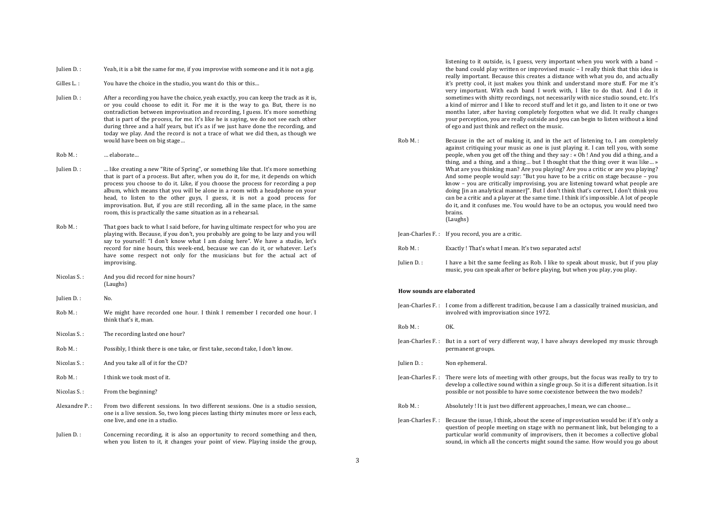Julien  $D.$ : Yeah, it is a bit the same for me, if you improvise with someone and it is not a gig.

Gilles  $L$ . : You have the choice in the studio, you want do this or this...

- Julien D. : After a recording you have the choice, yeah exactly, you can keep the track as it is, or you could choose to edit it. For me it is the way to go. But, there is no contradiction between improvisation and recording, I guess. It's more something that is part of the process, for me. It's like he is saying, we do not see each other during three and a half years, but it's as if we just have done the recording, and today we play. And the record is not a trace of what we did then, as though we would have been on big stage...
- Rob M.: … elaborate…
- Iulien D. : … like creating a new "Rite of Spring", or something like that. It's more something that is part of a process. But after, when you do it, for me, it depends on which process you choose to do it. Like, if you choose the process for recording a pop album, which means that you will be alone in a room with a headphone on your head, to listen to the other guys, I guess, it is not a good process for improvisation. But, if you are still recording, all in the same place, in the same room, this is practically the same situation as in a rehearsal.
- Rob M. : That goes back to what I said before, for having ultimate respect for who you are playing with. Because, if you don't, you probably are going to be lazy and you will say to yourself: "I don't know what I am doing here". We have a studio, let's record for nine hours, this week-end, because we can do it, or whatever. Let's have some respect not only for the musicians but for the actual act of improvising.
- Nicolas S.: And you did record for nine hours? (Laughs)
- Julien D.: No.
- Rob M.: We might have recorded one hour. I think I remember I recorded one hour. I think that's it, man.
- Nicolas S.: The recording lasted one hour?
- $Rob M.$ : Possibly, I think there is one take, or first take, second take, I don't know.
- Nicolas S.: And you take all of it for the CD?
- Rob M.: I think we took most of it.
- Nicolas S.: From the beginning?
- Alexandre  $P_{\text{c}}$ : From two different sessions. In two different sessions. One is a studio session, one is a live session. So, two long pieces lasting thirty minutes more or less each, one live, and one in a studio.
- Julien  $D.$ : Concerning recording, it is also an opportunity to record something and then, when you listen to it, it changes your point of view. Playing inside the group,

listening to it outside, is, I guess, very important when you work with a band  $$ the band could play written or improvised music  $-1$  really think that this idea is really important. Because this creates a distance with what you do, and actually it's pretty cool, it just makes you think and understand more stuff. For me it's very important. With each band I work with. I like to do that. And I do it sometimes with shitty recordings, not necessarily with nice studio sound, etc. It's a kind of mirror and I like to record stuff and let it go, and listen to it one or two months later, after having completely forgotten what we did. It really changes your perception, you are really outside and you can begin to listen without a kind of ego and just think and reflect on the music.

Rob M. : Because in the act of making it, and in the act of listening to, I am completely against critiquing your music as one is just playing it. I can tell you, with some people, when you get off the thing and they say :  $\kappa$  Oh ! And you did a thing, and a thing, and a thing, and a thing... but I thought that the thing over it was like... » What are you thinking man? Are you playing? Are you a critic or are you playing? And some people would say: "But you have to be a critic on stage because  $-$  you know – you are critically improvising, you are listening toward what people are doing [in an analytical manner]". But I don't think that's correct, I don't think you can be a critic and a player at the same time. I think it's impossible. A lot of people do it, and it confuses me. You would have to be an octopus, you would need two brains. (Laughs)

**Jean-Charles F.:** If you record, you are a critic.

- Rob M.: Exactly ! That's what I mean. It's two separated acts!
- Julien D. : I have a bit the same feeling as Rob. I like to speak about music, but if you play music, you can speak after or before playing, but when you play, you play.

#### **How sounds are elaborated**

- Jean-Charles F.: I come from a different tradition, because I am a classically trained musician, and involved with improvisation since 1972.
- $RobM.$ :  $OK.$
- Jean-Charles F.: But in a sort of very different way, I have always developed my music through permanent groups.
- Julien D.: Non ephemeral.
- $Iean-Charles F.:$  There were lots of meeting with other groups, but the focus was really to try to develop a collective sound within a single group. So it is a different situation. Is it possible or not possible to have some coexistence between the two models?
- $Rob M.$ :  $\qquad \qquad$  Absolutely ! It is just two different approaches. I mean, we can choose...
- Iean-Charles F.: Because the issue, I think, about the scene of improvisation would be: if it's only a question of people meeting on stage with no permanent link, but belonging to a particular world community of improvisers, then it becomes a collective global sound, in which all the concerts might sound the same. How would you go about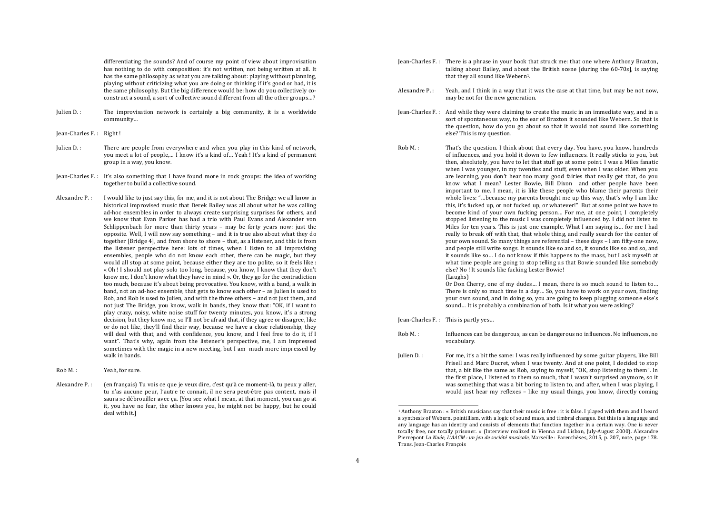differentiating the sounds? And of course my point of view about improvisation has nothing to do with composition: it's not written, not being written at all. It has the same philosophy as what you are talking about: playing without planning, playing without criticizing what you are doing or thinking if it's good or bad, it is the same philosophy. But the big difference would be: how do you collectively coconstruct a sound, a sort of collective sound different from all the other groups...?

- Julien  $D$ . : The improvisation network is certainly a big community, it is a worldwide community…
- Jean-Charles F. : Right !
- Julien  $D_{\text{L}}$ : There are people from everywhere and when you play in this kind of network. you meet a lot of people,... I know it's a kind of... Yeah ! It's a kind of permanent group in a way, you know.
- Iean-Charles F.: It's also something that I have found more in rock groups: the idea of working together to build a collective sound.
- Alexandre  $P.$ : I would like to just say this, for me, and it is not about The Bridge: we all know in historical improvised music that Derek Bailey was all about what he was calling ad-hoc ensembles in order to always create surprising surprises for others, and we know that Evan Parker has had a trio with Paul Evans and Alexander von Schlippenbach for more than thirty years – may be forty years now: just the opposite. Well, I will now say something – and it is true also about what they do together [Bridge 4], and from shore to shore – that, as a listener, and this is from the listener perspective here: lots of times, when I listen to all improvising ensembles, people who do not know each other, there can be magic, but they would all stop at some point, because either they are too polite, so it feels like : « Oh ! I should not play solo too long, because, you know, I know that they don't know me, I don't know what they have in mind ». Or, they go for the contradiction too much, because it's about being provocative. You know, with a band, a walk in band, not an ad-hoc ensemble, that gets to know each other  $-$  as Julien is used to Rob, and Rob is used to Julien, and with the three others – and not just them, and not just The Bridge, you know, walk in bands, they know that: "OK, if I want to play crazy, noisy, white noise stuff for twenty minutes, you know, it's a strong decision, but they know me, so I'll not be afraid that, if they agree or disagree, like or do not like, they'll find their way, because we have a close relationship, they will deal with that, and with confidence, you know, and I feel free to do it, if I want". That's why, again from the listener's perspective, me, I am impressed sometimes with the magic in a new meeting, but I am much more impressed by walk in bands.
- Rob M.: Yeah, for sure.
- Alexandre P.: (en français) Tu vois ce que je veux dire, c'est qu'à ce moment-là, tu peux y aller, tu n'as aucune peur, l'autre te connait, il ne sera peut-être pas content, mais il saura se débrouiller avec ca. [You see what I mean, at that moment, you can go at it, you have no fear, the other knows you, he might not be happy, but he could deal with it.]
- Jean-Charles F.: There is a phrase in your book that struck me: that one where Anthony Braxton. talking about Bailey, and about the British scene [during the 60-70s], is saying that they all sound like Webern<sup>1</sup>.
- Alexandre P. : Yeah, and I think in a way that it was the case at that time, but may be not now. may be not for the new generation.
- Jean-Charles F.: And while they were claiming to create the music in an immediate way, and in a sort of spontaneous way, to the ear of Braxton it sounded like Webern. So that is the question, how do you go about so that it would not sound like something else? This is my question.
- $Rob M.$ : That's the question. I think about that every day. You have, you know, hundreds of influences, and you hold it down to few influences. It really sticks to you, but then, absolutely, you have to let that stuff go at some point. I was a Miles fanatic when I was vounger, in my twenties and stuff, even when I was older. When you are learning, you don't hear too many good fairies that really get that, do you know what I mean? Lester Bowie, Bill Dixon and other people have been important to me. I mean, it is like these people who blame their parents their whole lives: "...because my parents brought me up this way, that's why I am like this, it's fucked up, or not fucked up, or whatever!" But at some point we have to become kind of your own fucking person... For me, at one point, I completely stopped listening to the music I was completely influenced by. I did not listen to Miles for ten years. This is just one example. What I am saying is... for me I had really to break off with that, that whole thing, and really search for the center of your own sound. So many things are referential – these days – I am fifty-one now, and people still write songs. It sounds like so and so, it sounds like so and so, and it sounds like so... I do not know if this happens to the mass, but I ask myself: at what time people are going to stop telling us that Bowie sounded like somebody else? No ! It sounds like fucking Lester Bowie!

(Laughs)

Or Don Cherry, one of my dudes... I mean, there is so much sound to listen to... There is only so much time in a day... So, you have to work on your own, finding your own sound, and in doing so, you are going to keep plugging someone else's sound... It is probably a combination of both. Is it what you were asking?

 $Iean-Charles F.:$  This is partly yes...

<u> 1989 - Johann Stoff, fransk politik (d. 1989)</u>

- Rob M. : The influences can be dangerous, as can be dangerous no influences. No influences, no vocabulary.
- Julien  $D_{\text{L}}$ : For me, it's a bit the same: I was really influenced by some guitar players, like Bill Frisell and Marc Ducret, when I was twenty. And at one point, I decided to stop that, a bit like the same as Rob, saying to myself, "OK, stop listening to them". In the first place. I listened to them so much, that I wasn't surprised anymore, so it was something that was a bit boring to listen to, and after, when I was playing, I would just hear my reflexes – like my usual things, you know, directly coming

 $1$  Anthony Braxton : « British musicians say that their music is free : it is false. I played with them and I heard a synthesis of Webern, pointillism, with a logic of sound mass, and timbral changes. But this is a language and any language has an identity and consists of elements that function together in a certain way. One is never totally free, nor totally prisoner. » (Interview realized in Vienna and Lisbon, July-August 2000). Alexandre Pierrepont *La Nuée, L'AACM : un jeu de société musicale*, Marseille : Parenthèses, 2015, p. 207, note, page 178. Trans. Jean-Charles François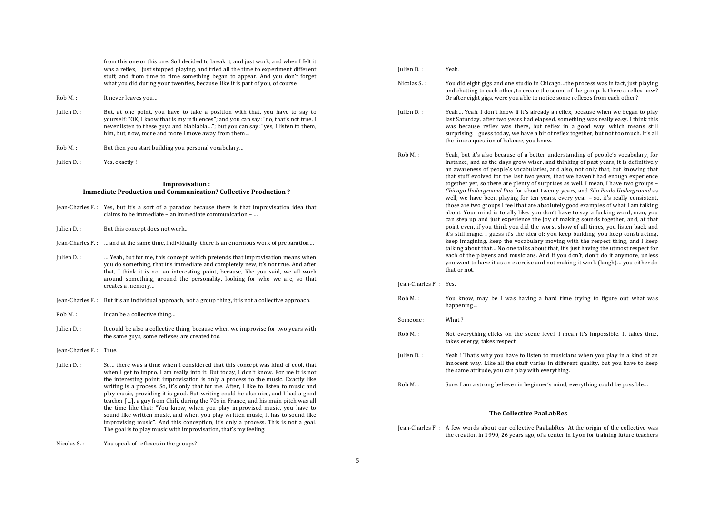from this one or this one. So I decided to break it, and just work, and when I felt it was a reflex, I just stopped playing, and tried all the time to experiment different stuff, and from time to time something began to appear. And you don't forget what you did during your twenties, because, like it is part of you, of course.

- Rob M.: It never leaves you...
- Julien D. : But, at one point, you have to take a position with that, you have to say to yourself: "OK, I know that is my influences"; and you can say: "no, that's not true, I never listen to these guys and blablabla..."; but you can say: "yes, I listen to them, him, but, now, more and more I move away from them...
- Rob M.: But then you start building you personal vocabulary...
- Julien D. : Yes, exactly !

### **Improvisation** : **Immediate Production and Communication? Collective Production?**

- Jean-Charles F.: Yes, but it's a sort of a paradox because there is that improvisation idea that claims to be immediate – an immediate communication – ...
- Iulien D.: But this concept does not work...
- Jean-Charles F.: ... and at the same time, individually, there is an enormous work of preparation...
- Julien D. : … Weah, but for me, this concept, which pretends that improvisation means when you do something, that it's immediate and completely new, it's not true. And after that, I think it is not an interesting point, because, like you said, we all work around something, around the personality, looking for who we are, so that creates a memory…
- Jean-Charles F.: But it's an individual approach, not a group thing, it is not a collective approach.
- $Rob M.$ : It can be a collective thing...
- Julien D. : It could be also a collective thing, because when we improvise for two years with the same guys, some reflexes are created too.
- Jean-Charles F. : True.

Julien D. : So... there was a time when I considered that this concept was kind of cool, that when I get to impro, I am really into it. But today, I don't know. For me it is not the interesting point; improvisation is only a process to the music. Exactly like writing is a process. So, it's only that for me. After, I like to listen to music and play music, providing it is good. But writing could be also nice, and I had a good teacher  $\left[\ldots\right]$ , a guy from Chili, during the 70s in France, and his main pitch was all the time like that: "You know, when you play improvised music, you have to sound like written music, and when you play written music, it has to sound like improvising music". And this conception, it's only a process. This is not a goal. The goal is to play music with improvisation, that's my feeling.

Nicolas S.: You speak of reflexes in the groups?

| Julien D.:  | Yeah.                                                                                                                                                                                                                                                                                                                                                                                       |
|-------------|---------------------------------------------------------------------------------------------------------------------------------------------------------------------------------------------------------------------------------------------------------------------------------------------------------------------------------------------------------------------------------------------|
| Nicolas S.: | You did eight gigs and one studio in Chicagothe process was in fact, just playing<br>and chatting to each other, to create the sound of the group. Is there a reflex now?<br>Or after eight gigs, were you able to notice some reflexes from each other?                                                                                                                                    |
| Julien D.:  | Yeah Yeah. I don't know if it's already a reflex, because when we began to play<br>last Saturday, after two years had elapsed, something was really easy. I think this<br>was because reflex was there, but reflex in a good way, which means still<br>surprising. I guess today, we have a bit of reflex together, but not too much. It's all<br>the time a question of balance, you know. |
| $Rob M.$ :  | Yeah, but it's also because of a better understanding of people's vocabulary, for<br>instance, and as the days grow wiser, and thinking of past years, it is definitively<br>an awareness of people's vocabularies, and also, not only that, but knowing that<br>that stuff evolved for the last two vears, that we haven't had enough experience                                           |

that stuff evolved for the last two years, that we haven't had enough experience together yet, so there are plenty of surprises as well. I mean, I have two groups – *Chicago Underground Duo* for about twenty years, and *São Paulo Underground* as well, we have been playing for ten years, every year - so, it's really consistent, those are two groups I feel that are absolutely good examples of what I am talking about. Your mind is totally like: you don't have to say a fucking word, man, you can step up and just experience the joy of making sounds together, and, at that point even, if you think you did the worst show of all times, you listen back and it's still magic. I guess it's the idea of: you keep building, you keep constructing, keep imagining, keep the vocabulary moving with the respect thing, and I keep talking about that... No one talks about that, it's just having the utmost respect for each of the players and musicians. And if you don't, don't do it anymore, unless you want to have it as an exercise and not making it work (laugh)... you either do that or not.

#### Jean-Charles F.: Yes.

Rob M.:  $\qquad$  You know, may be I was having a hard time trying to figure out what was happening…

Someone: What?

- $Rob M.$ : Not everything clicks on the scene level. I mean it's impossible. It takes time, takes energy, takes respect.
- Julien D. : Yeah! That's why you have to listen to musicians when you play in a kind of an innocent way. Like all the stuff varies in different quality, but you have to keep the same attitude, you can play with everything.
- Rob M. : Sure. I am a strong believer in beginner's mind, everything could be possible...

#### **The Collective PaaLabRes**

 $Iean-Charles F.: A few words about our collective Paal, abRes. At the origin of the collective was$ the creation in 1990, 26 years ago, of a center in Lyon for training future teachers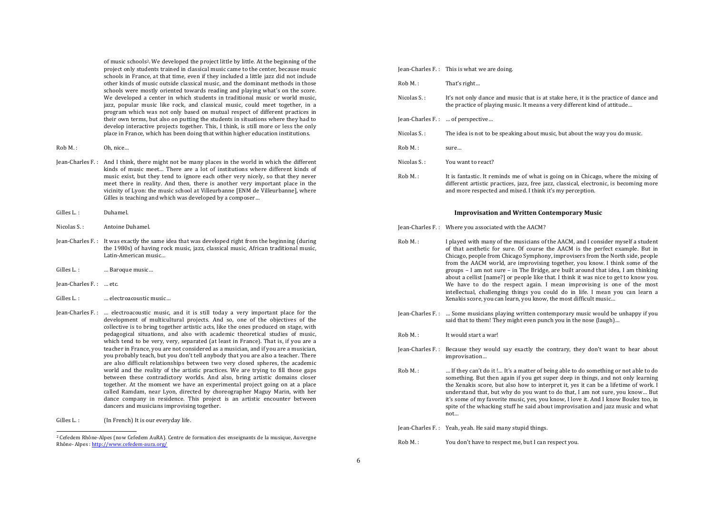of music schools<sup>2</sup>. We developed the project little by little. At the beginning of the project only students trained in classical music came to the center, because music schools in France, at that time, even if they included a little jazz did not include  $\alpha$  other kinds of music outside classical music, and the dominant methods in those schools were mostly oriented towards reading and playing what's on the score. We developed a center in which students in traditional music or world music. jazz, popular music like rock, and classical music, could meet together, in a program which was not only based on mutual respect of different practices in their own terms, but also on putting the students in situations where they had to develop interactive projects together. This, I think, is still more or less the only place in France, which has been doing that within higher education institutions.

- Rob M.: 0h. nice...
- Jean-Charles F.: And I think, there might not be many places in the world in which the different kinds of music meet. There are a lot of institutions where different kinds of music exist, but they tend to ignore each other very nicely, so that they never meet there in reality. And then, there is another very important place in the vicinity of Lyon: the music school at Villeurbanne [ENM de Villeurbanne], where Gilles is teaching and which was developed by a composer...
- Gilles L.: Duhamel.
- Nicolas S.: Antoine Duhamel.
- Jean-Charles F.: It was exactly the same idea that was developed right from the beginning (during the 1980s) of having rock music, jazz, classical music, African traditional music, Latin-American music...
- Gilles L.: … Baroque music...
- Jean-Charles F.: ... etc.
- Gilles L.: …… electroacoustic music…
- Jean-Charles F.: ... electroacoustic music, and it is still today a very important place for the development of multicultural projects. And so, one of the objectives of the collective is to bring together artistic acts, like the ones produced on stage, with pedagogical situations, and also with academic theoretical studies of music, which tend to be very, very, separated (at least in France). That is, if you are a teacher in France, you are not considered as a musician, and if you are a musician. you probably teach, but you don't tell anybody that you are also a teacher. There are also difficult relationships between two very closed spheres, the academic world and the reality of the artistic practices. We are trying to fill those gaps between these contradictory worlds. And also, bring artistic domains closer together. At the moment we have an experimental project going on at a place called Ramdam, near Lyon, directed by choreographer Maguy Marin, with her dance company in residence. This project is an artistic encounter between dancers and musicians improvising together.
- Gilles L.: (In French) It is our everyday life.

<u> 1989 - Johann Stoff, fransk politik (d. 1989)</u>

|             | Jean-Charles F.: This is what we are doing.                                                                                                                                                                                               |
|-------------|-------------------------------------------------------------------------------------------------------------------------------------------------------------------------------------------------------------------------------------------|
| $Rob M.$ :  | That's right                                                                                                                                                                                                                              |
| Nicolas S.: | It's not only dance and music that is at stake here, it is the practice of dance and<br>the practice of playing music. It means a very different kind of attitude                                                                         |
|             | Jean-Charles F.:  of perspective                                                                                                                                                                                                          |
| Nicolas S.: | The idea is not to be speaking about music, but about the way you do music.                                                                                                                                                               |
| $Roh M.$ :  | sure                                                                                                                                                                                                                                      |
| Nicolas S.: | You want to react?                                                                                                                                                                                                                        |
| $Roh M.$ :  | It is fantastic. It reminds me of what is going on in Chicago, where the mixing of<br>different artistic practices, jazz, free jazz, classical, electronic, is becoming more<br>and more respected and mixed. I think it's my perception. |

#### **Improvisation and Written Contemporary Music**

Iean-Charles F.: Where you associated with the AACM?

- Rob M.: I played with many of the musicians of the AACM, and I consider myself a student of that aesthetic for sure. Of course the AACM is the perfect example. But in Chicago, people from Chicago Symphony, improvisers from the North side, people from the AACM world, are improvising together, you know. I think some of the groups  $-$  I am not sure  $-$  in The Bridge, are built around that idea, I am thinking about a cellist [name?] or people like that. I think it was nice to get to know you. We have to do the respect again. I mean improvising is one of the most intellectual, challenging things you could do in life. I mean you can learn a Xenakis score, you can learn, you know, the most difficult music...
- $Iean-Charles F.: ... Some musicians playing written contemporary music would be unhappy if you$ said that to them! They might even punch you in the nose (laugh)...
- $Roh M$ . It would start a war!
- Jean-Charles F.: Because they would say exactly the contrary, they don't want to hear about improvisation…
- Rob M. :  $\ldots$  If they can't do it !... It's a matter of being able to do something or not able to do something. But then again if you get super deep in things, and not only learning the Xenakis score, but also how to interpret it, yes it can be a lifetime of work. I understand that, but why do you want to do that. I am not sure, you know... But it's some of my favorite music, yes, you know, I love it. And I know Boulez too, in spite of the whacking stuff he said about improvisation and jazz music and what not…

Jean-Charles F. : Yeah, yeah. He said many stupid things.

Rob M.: You don't have to respect me, but I can respect you.

<sup>&</sup>lt;sup>2</sup> Cefedem Rhône-Alpes (now Cefedem AuRA). Centre de formation des enseignants de la musique, Auvergne Rhône- Alpes : http://www.cefedem-aura.org/